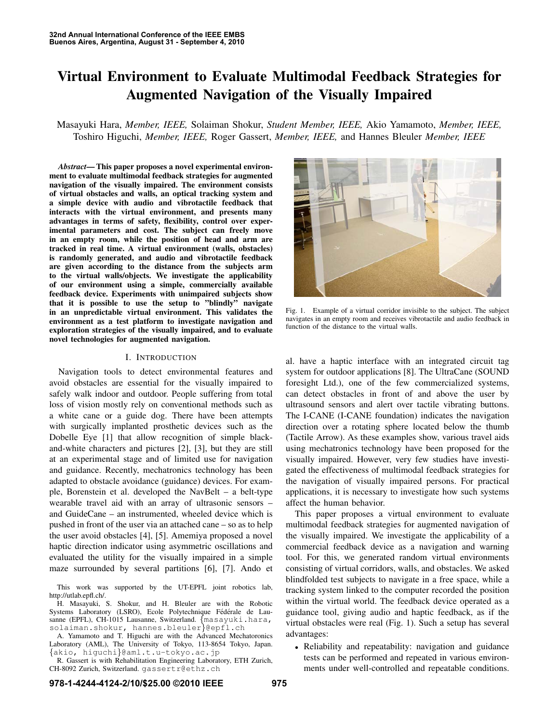# Virtual Environment to Evaluate Multimodal Feedback Strategies for Augmented Navigation of the Visually Impaired

Masayuki Hara, *Member, IEEE,* Solaiman Shokur, *Student Member, IEEE,* Akio Yamamoto, *Member, IEEE,* Toshiro Higuchi, *Member, IEEE,* Roger Gassert, *Member, IEEE,* and Hannes Bleuler *Member, IEEE*

*Abstract*— This paper proposes a novel experimental environment to evaluate multimodal feedback strategies for augmented navigation of the visually impaired. The environment consists of virtual obstacles and walls, an optical tracking system and a simple device with audio and vibrotactile feedback that interacts with the virtual environment, and presents many advantages in terms of safety, flexibility, control over experimental parameters and cost. The subject can freely move in an empty room, while the position of head and arm are tracked in real time. A virtual environment (walls, obstacles) is randomly generated, and audio and vibrotactile feedback are given according to the distance from the subjects arm to the virtual walls/objects. We investigate the applicability of our environment using a simple, commercially available feedback device. Experiments with unimpaired subjects show that it is possible to use the setup to "blindly" navigate in an unpredictable virtual environment. This validates the environment as a test platform to investigate navigation and exploration strategies of the visually impaired, and to evaluate novel technologies for augmented navigation.

## I. INTRODUCTION

Navigation tools to detect environmental features and avoid obstacles are essential for the visually impaired to safely walk indoor and outdoor. People suffering from total loss of vision mostly rely on conventional methods such as a white cane or a guide dog. There have been attempts with surgically implanted prosthetic devices such as the Dobelle Eye [1] that allow recognition of simple blackand-white characters and pictures [2], [3], but they are still at an experimental stage and of limited use for navigation and guidance. Recently, mechatronics technology has been adapted to obstacle avoidance (guidance) devices. For example, Borenstein et al. developed the NavBelt – a belt-type wearable travel aid with an array of ultrasonic sensors – and GuideCane – an instrumented, wheeled device which is pushed in front of the user via an attached cane – so as to help the user avoid obstacles [4], [5]. Amemiya proposed a novel haptic direction indicator using asymmetric oscillations and evaluated the utility for the visually impaired in a simple maze surrounded by several partitions [6], [7]. Ando et

This work was supported by the UT-EPFL joint robotics lab, http://utlab.epfl.ch/.

R. Gassert is with Rehabilitation Engineering Laboratory, ETH Zurich, CH-8092 Zurich, Switzerland. gassertr@ethz.ch



Fig. 1. Example of a virtual corridor invisible to the subject. The subject navigates in an empty room and receives vibrotactile and audio feedback in function of the distance to the virtual walls.

al. have a haptic interface with an integrated circuit tag system for outdoor applications [8]. The UltraCane (SOUND foresight Ltd.), one of the few commercialized systems, can detect obstacles in front of and above the user by ultrasound sensors and alert over tactile vibrating buttons. The I-CANE (I-CANE foundation) indicates the navigation direction over a rotating sphere located below the thumb (Tactile Arrow). As these examples show, various travel aids using mechatronics technology have been proposed for the visually impaired. However, very few studies have investigated the effectiveness of multimodal feedback strategies for the navigation of visually impaired persons. For practical applications, it is necessary to investigate how such systems affect the human behavior.

This paper proposes a virtual environment to evaluate multimodal feedback strategies for augmented navigation of the visually impaired. We investigate the applicability of a commercial feedback device as a navigation and warning tool. For this, we generated random virtual environments consisting of virtual corridors, walls, and obstacles. We asked blindfolded test subjects to navigate in a free space, while a tracking system linked to the computer recorded the position within the virtual world. The feedback device operated as a guidance tool, giving audio and haptic feedback, as if the virtual obstacles were real (Fig. 1). Such a setup has several advantages:

• Reliability and repeatability: navigation and guidance tests can be performed and repeated in various environments under well-controlled and repeatable conditions.

H. Masayuki, S. Shokur, and H. Bleuler are with the Robotic Systems Laboratory (LSRO), Ecole Polytechnique Fédérale de Lausanne (EPFL), CH-1015 Lausanne, Switzerland. {masayuki.hara, solaiman.shokur, hannes.bleuler}@epfl.ch

A. Yamamoto and T. Higuchi are with the Advanced Mechatoronics Laboratory (AML), The University of Tokyo, 113-8654 Tokyo, Japan. {akio, higuchi}@aml.t.u-tokyo.ac.jp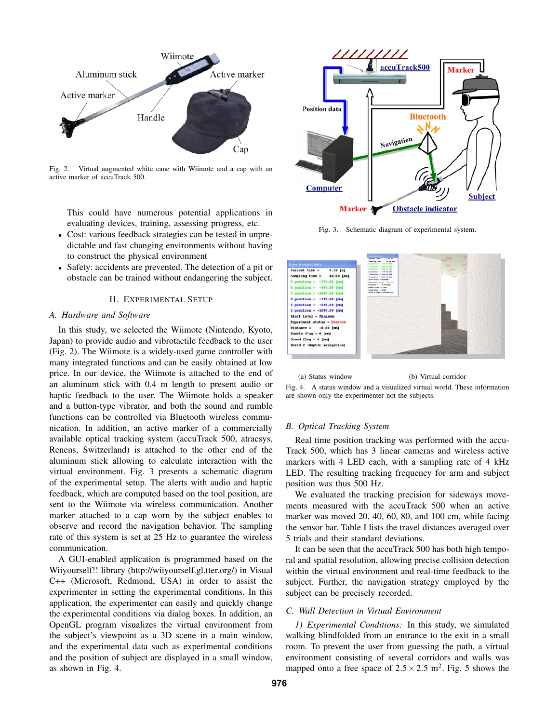

Fig. 2. Virtual augmented white cane with Wiimote and a cap with an active marker of accuTrack 500.

This could have numerous potential applications in evaluating devices, training, assessing progress, etc.

- Cost: various feedback strategies can be tested in unpredictable and fast changing environments without having to construct the physical environment
- Safety: accidents are prevented. The detection of a pit or obstacle can be trained without endangering the subject.

## II. EXPERIMENTAL SETUP

## *A. Hardware and Software*

In this study, we selected the Wiimote (Nintendo, Kyoto, Japan) to provide audio and vibrotactile feedback to the user (Fig. 2). The Wiimote is a widely-used game controller with many integrated functions and can be easily obtained at low price. In our device, the Wiimote is attached to the end of an aluminum stick with 0.4 m length to present audio or haptic feedback to the user. The Wiimote holds a speaker and a button-type vibrator, and both the sound and rumble functions can be controlled via Bluetooth wireless communication. In addition, an active marker of a commercially available optical tracking system (accuTrack 500, atracsys, Renens, Switzerland) is attached to the other end of the aluminum stick allowing to calculate interaction with the virtual environment. Fig. 3 presents a schematic diagram of the experimental setup. The alerts with audio and haptic feedback, which are computed based on the tool position, are sent to the Wiimote via wireless communication. Another marker attached to a cap worn by the subject enables to observe and record the navigation behavior. The sampling rate of this system is set at 25 Hz to guarantee the wireless communication.

A GUI-enabled application is programmed based on the Wiiyourself!! library (http://wiiyourself.gl.tter.org/) in Visual C++ (Microsoft, Redmond, USA) in order to assist the experimenter in setting the experimental conditions. In this application, the experimenter can easily and quickly change the experimental conditions via dialog boxes. In addition, an OpenGL program visualizes the virtual environment from the subject's viewpoint as a 3D scene in a main window, and the experimental data such as experimental conditions and the position of subject are displayed in a small window, as shown in Fig. 4.



Fig. 3. Schematic diagram of experimental system.



(a) Status window (b) Virtual corridor Fig. 4. A status window and a visualized virtual world. These information are shown only the experimenter not the subjects.

## *B. Optical Tracking System*

Real time position tracking was performed with the accu-Track 500, which has 3 linear cameras and wireless active markers with 4 LED each, with a sampling rate of 4 kHz LED. The resulting tracking frequency for arm and subject position was thus 500 Hz.

We evaluated the tracking precision for sideways movements measured with the accuTrack 500 when an active marker was moved 20, 40, 60, 80, and 100 cm, while facing the sensor bar. Table I lists the travel distances averaged over 5 trials and their standard deviations.

It can be seen that the accuTrack 500 has both high temporal and spatial resolution, allowing precise collision detection within the virtual environment and real-time feedback to the subject. Further, the navigation strategy employed by the subject can be precisely recorded.

## *C. Wall Detection in Virtual Environment*

*1) Experimental Conditions:* In this study, we simulated walking blindfolded from an entrance to the exit in a small room. To prevent the user from guessing the path, a virtual environment consisting of several corridors and walls was mapped onto a free space of  $2.5 \times 2.5$  m<sup>2</sup>. Fig. 5 shows the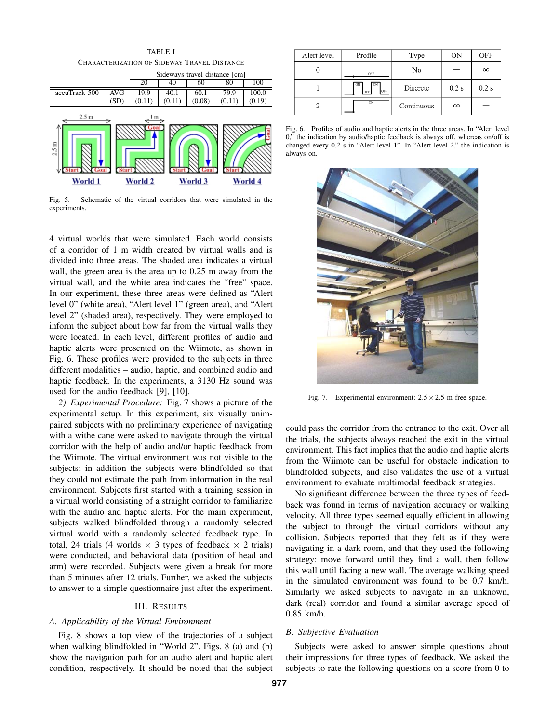

Fig. 5. Schematic of the virtual corridors that were simulated in the experiments.

4 virtual worlds that were simulated. Each world consists of a corridor of 1 m width created by virtual walls and is divided into three areas. The shaded area indicates a virtual wall, the green area is the area up to 0.25 m away from the virtual wall, and the white area indicates the "free" space. In our experiment, these three areas were defined as "Alert level 0" (white area), "Alert level 1" (green area), and "Alert level 2" (shaded area), respectively. They were employed to inform the subject about how far from the virtual walls they were located. In each level, different profiles of audio and haptic alerts were presented on the Wiimote, as shown in Fig. 6. These profiles were provided to the subjects in three different modalities – audio, haptic, and combined audio and haptic feedback. In the experiments, a 3130 Hz sound was used for the audio feedback [9], [10].

*2) Experimental Procedure:* Fig. 7 shows a picture of the experimental setup. In this experiment, six visually unimpaired subjects with no preliminary experience of navigating with a withe cane were asked to navigate through the virtual corridor with the help of audio and/or haptic feedback from the Wiimote. The virtual environment was not visible to the subjects; in addition the subjects were blindfolded so that they could not estimate the path from information in the real environment. Subjects first started with a training session in a virtual world consisting of a straight corridor to familiarize with the audio and haptic alerts. For the main experiment, subjects walked blindfolded through a randomly selected virtual world with a randomly selected feedback type. In total, 24 trials (4 worlds  $\times$  3 types of feedback  $\times$  2 trials) were conducted, and behavioral data (position of head and arm) were recorded. Subjects were given a break for more than 5 minutes after 12 trials. Further, we asked the subjects to answer to a simple questionnaire just after the experiment.

#### III. RESULTS

## *A. Applicability of the Virtual Environment*

Fig. 8 shows a top view of the trajectories of a subject when walking blindfolded in "World 2". Figs. 8 (a) and (b) show the navigation path for an audio alert and haptic alert condition, respectively. It should be noted that the subject

| Alert level | Profile                              | Type       | ΟN       | <b>OFF</b> |
|-------------|--------------------------------------|------------|----------|------------|
|             | OFF                                  | No         |          | $\infty$   |
|             | <b>ON</b><br><b>ON</b><br>OFF<br>OFF | Discrete   | $0.2$ s  | $0.2$ s    |
|             | <b>ON</b>                            | Continuous | $\infty$ |            |

Fig. 6. Profiles of audio and haptic alerts in the three areas. In "Alert level 0," the indication by audio/haptic feedback is always off, whereas on/off is changed every 0.2 s in "Alert level 1". In "Alert level 2," the indication is always on.



Fig. 7. Experimental environment:  $2.5 \times 2.5$  m free space.

could pass the corridor from the entrance to the exit. Over all the trials, the subjects always reached the exit in the virtual environment. This fact implies that the audio and haptic alerts from the Wiimote can be useful for obstacle indication to blindfolded subjects, and also validates the use of a virtual environment to evaluate multimodal feedback strategies.

No significant difference between the three types of feedback was found in terms of navigation accuracy or walking velocity. All three types seemed equally efficient in allowing the subject to through the virtual corridors without any collision. Subjects reported that they felt as if they were navigating in a dark room, and that they used the following strategy: move forward until they find a wall, then follow this wall until facing a new wall. The average walking speed in the simulated environment was found to be 0.7 km/h. Similarly we asked subjects to navigate in an unknown, dark (real) corridor and found a similar average speed of 0.85 km/h.

### *B. Subjective Evaluation*

Subjects were asked to answer simple questions about their impressions for three types of feedback. We asked the subjects to rate the following questions on a score from 0 to